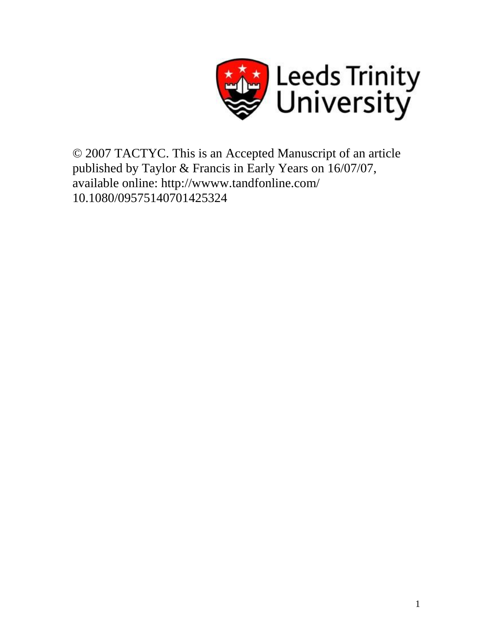

© 2007 TACTYC. This is an Accepted Manuscript of an article published by Taylor & Francis in Early Years on 16/07/07, available online: http://wwww.tandfonline.com/ 10.1080/09575140701425324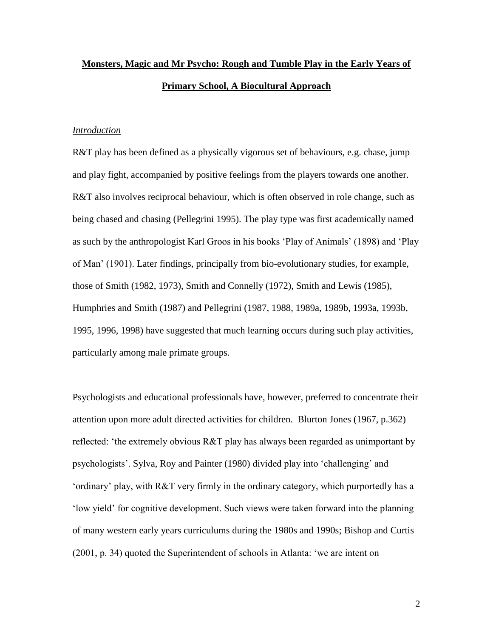# **Monsters, Magic and Mr Psycho: Rough and Tumble Play in the Early Years of Primary School, A Biocultural Approach**

## *Introduction*

R&T play has been defined as a physically vigorous set of behaviours, e.g. chase, jump and play fight, accompanied by positive feelings from the players towards one another. R&T also involves reciprocal behaviour, which is often observed in role change, such as being chased and chasing (Pellegrini 1995). The play type was first academically named as such by the anthropologist Karl Groos in his books 'Play of Animals' (1898) and 'Play of Man' (1901). Later findings, principally from bio-evolutionary studies, for example, those of Smith (1982, 1973), Smith and Connelly (1972), Smith and Lewis (1985), Humphries and Smith (1987) and Pellegrini (1987, 1988, 1989a, 1989b, 1993a, 1993b, 1995, 1996, 1998) have suggested that much learning occurs during such play activities, particularly among male primate groups.

Psychologists and educational professionals have, however, preferred to concentrate their attention upon more adult directed activities for children. Blurton Jones (1967, p.362) reflected: 'the extremely obvious R&T play has always been regarded as unimportant by psychologists'. Sylva, Roy and Painter (1980) divided play into 'challenging' and 'ordinary' play, with R&T very firmly in the ordinary category, which purportedly has a 'low yield' for cognitive development. Such views were taken forward into the planning of many western early years curriculums during the 1980s and 1990s; Bishop and Curtis (2001, p. 34) quoted the Superintendent of schools in Atlanta: 'we are intent on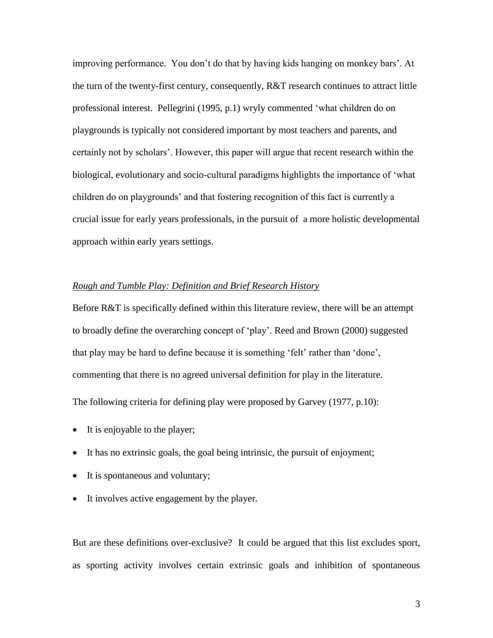improving performance. You don't do that by having kids hanging on monkey bars'. At the turn of the twenty-first century, consequently, R&T research continues to attract little professional interest. Pellegrini (1995, p.1) wryly commented 'what children do on playgrounds is typically not considered important by most teachers and parents, and certainly not by scholars'. However, this paper will argue that recent research within the biological, evolutionary and socio-cultural paradigms highlights the importance of 'what children do on playgrounds' and that fostering recognition of this fact is currently a crucial issue for early years professionals, in the pursuit of a more holistic developmental approach within early years settings.

# *Rough and Tumble Play: Definition and Brief Research History*

Before R&T is specifically defined within this literature review, there will be an attempt to broadly define the overarching concept of 'play'. Reed and Brown (2000) suggested that play may be hard to define because it is something 'felt' rather than 'done', commenting that there is no agreed universal definition for play in the literature. The following criteria for defining play were proposed by Garvey (1977, p.10):

- It is enjoyable to the player;
- It has no extrinsic goals, the goal being intrinsic, the pursuit of enjoyment;
- It is spontaneous and voluntary;
- It involves active engagement by the player.

But are these definitions over-exclusive? It could be argued that this list excludes sport, as sporting activity involves certain extrinsic goals and inhibition of spontaneous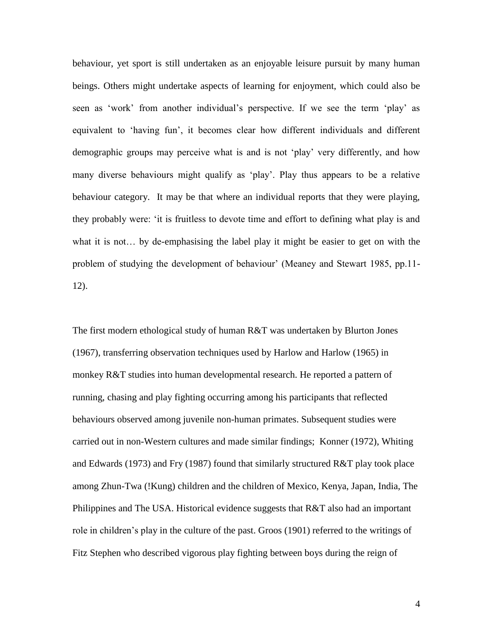behaviour, yet sport is still undertaken as an enjoyable leisure pursuit by many human beings. Others might undertake aspects of learning for enjoyment, which could also be seen as 'work' from another individual's perspective. If we see the term 'play' as equivalent to 'having fun', it becomes clear how different individuals and different demographic groups may perceive what is and is not 'play' very differently, and how many diverse behaviours might qualify as 'play'. Play thus appears to be a relative behaviour category. It may be that where an individual reports that they were playing, they probably were: 'it is fruitless to devote time and effort to defining what play is and what it is not… by de-emphasising the label play it might be easier to get on with the problem of studying the development of behaviour' (Meaney and Stewart 1985, pp.11- 12).

The first modern ethological study of human R&T was undertaken by Blurton Jones (1967), transferring observation techniques used by Harlow and Harlow (1965) in monkey R&T studies into human developmental research. He reported a pattern of running, chasing and play fighting occurring among his participants that reflected behaviours observed among juvenile non-human primates. Subsequent studies were carried out in non-Western cultures and made similar findings; Konner (1972), Whiting and Edwards (1973) and Fry (1987) found that similarly structured R&T play took place among Zhun-Twa (!Kung) children and the children of Mexico, Kenya, Japan, India, The Philippines and The USA. Historical evidence suggests that R&T also had an important role in children's play in the culture of the past. Groos (1901) referred to the writings of Fitz Stephen who described vigorous play fighting between boys during the reign of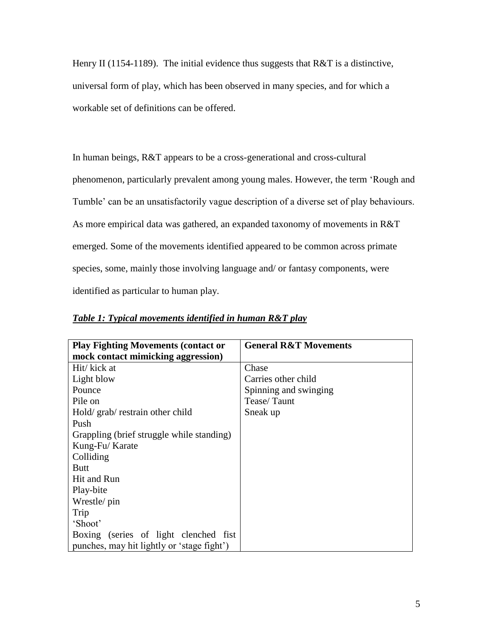Henry II (1154-1189). The initial evidence thus suggests that  $R&T$  is a distinctive, universal form of play, which has been observed in many species, and for which a workable set of definitions can be offered.

In human beings, R&T appears to be a cross-generational and cross-cultural phenomenon, particularly prevalent among young males. However, the term 'Rough and Tumble' can be an unsatisfactorily vague description of a diverse set of play behaviours. As more empirical data was gathered, an expanded taxonomy of movements in R&T emerged. Some of the movements identified appeared to be common across primate species, some, mainly those involving language and/ or fantasy components, were identified as particular to human play.

| <b>Play Fighting Movements (contact or</b> | <b>General R&amp;T Movements</b> |
|--------------------------------------------|----------------------------------|
| mock contact mimicking aggression)         |                                  |
| Hit/ kick at                               | Chase                            |
| Light blow                                 | Carries other child              |
| Pounce                                     | Spinning and swinging            |
| Pile on                                    | Tease/Taunt                      |
| Hold/grab/restrain other child             | Sneak up                         |
| Push                                       |                                  |
| Grappling (brief struggle while standing)  |                                  |
| Kung-Fu/Karate                             |                                  |
| Colliding                                  |                                  |
| <b>Butt</b>                                |                                  |
| Hit and Run                                |                                  |
| Play-bite                                  |                                  |
| Wrestle/ pin                               |                                  |
| Trip                                       |                                  |
| 'Shoot'                                    |                                  |
| Boxing (series of light clenched fist)     |                                  |
| punches, may hit lightly or 'stage fight') |                                  |

*Table 1: Typical movements identified in human R&T play*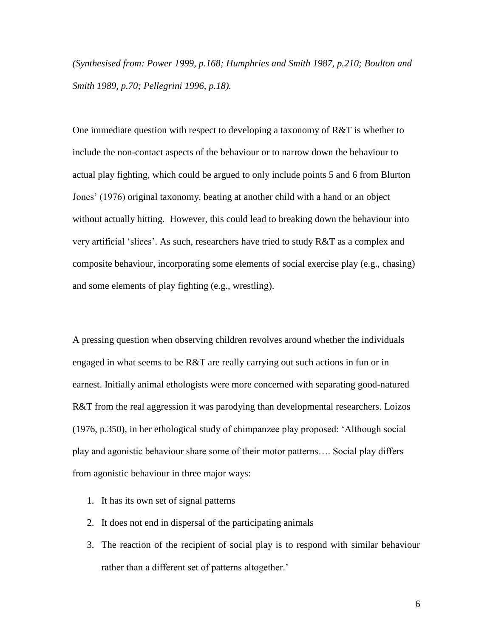*(Synthesised from: Power 1999, p.168; Humphries and Smith 1987, p.210; Boulton and Smith 1989, p.70; Pellegrini 1996, p.18).* 

One immediate question with respect to developing a taxonomy of R&T is whether to include the non-contact aspects of the behaviour or to narrow down the behaviour to actual play fighting, which could be argued to only include points 5 and 6 from Blurton Jones' (1976) original taxonomy, beating at another child with a hand or an object without actually hitting. However, this could lead to breaking down the behaviour into very artificial 'slices'. As such, researchers have tried to study R&T as a complex and composite behaviour, incorporating some elements of social exercise play (e.g., chasing) and some elements of play fighting (e.g., wrestling).

A pressing question when observing children revolves around whether the individuals engaged in what seems to be R&T are really carrying out such actions in fun or in earnest. Initially animal ethologists were more concerned with separating good-natured R&T from the real aggression it was parodying than developmental researchers. Loizos (1976, p.350), in her ethological study of chimpanzee play proposed: 'Although social play and agonistic behaviour share some of their motor patterns…. Social play differs from agonistic behaviour in three major ways:

- 1. It has its own set of signal patterns
- 2. It does not end in dispersal of the participating animals
- 3. The reaction of the recipient of social play is to respond with similar behaviour rather than a different set of patterns altogether.'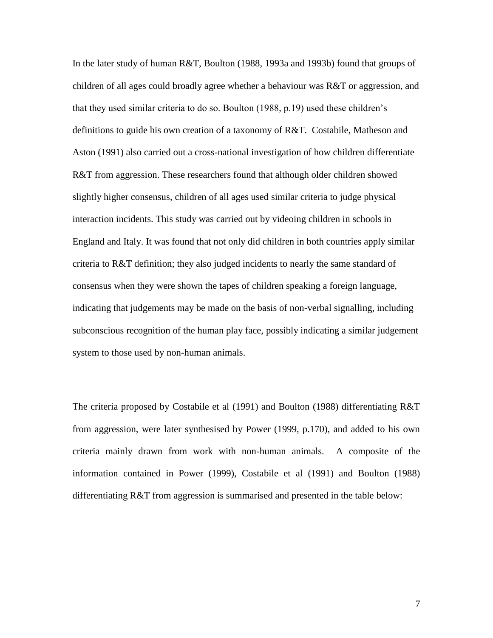In the later study of human R&T, Boulton (1988, 1993a and 1993b) found that groups of children of all ages could broadly agree whether a behaviour was R&T or aggression, and that they used similar criteria to do so. Boulton (1988, p.19) used these children's definitions to guide his own creation of a taxonomy of R&T. Costabile, Matheson and Aston (1991) also carried out a cross-national investigation of how children differentiate R&T from aggression. These researchers found that although older children showed slightly higher consensus, children of all ages used similar criteria to judge physical interaction incidents. This study was carried out by videoing children in schools in England and Italy. It was found that not only did children in both countries apply similar criteria to R&T definition; they also judged incidents to nearly the same standard of consensus when they were shown the tapes of children speaking a foreign language, indicating that judgements may be made on the basis of non-verbal signalling, including subconscious recognition of the human play face, possibly indicating a similar judgement system to those used by non-human animals.

The criteria proposed by Costabile et al (1991) and Boulton (1988) differentiating R&T from aggression, were later synthesised by Power (1999, p.170), and added to his own criteria mainly drawn from work with non-human animals. A composite of the information contained in Power (1999), Costabile et al (1991) and Boulton (1988) differentiating R&T from aggression is summarised and presented in the table below: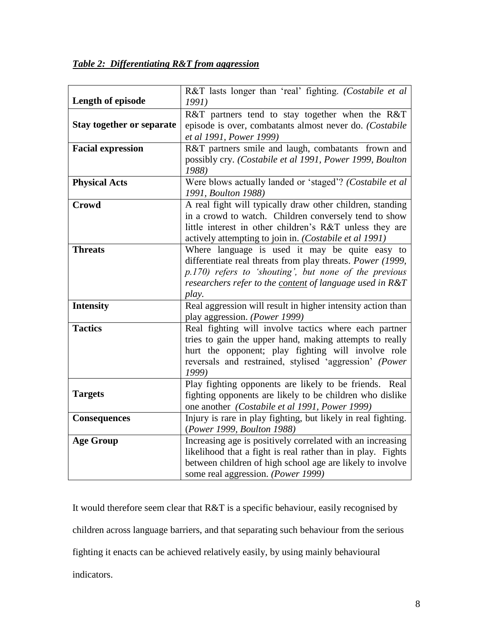| Table 2: Differentiating R&T from aggression |  |
|----------------------------------------------|--|
|                                              |  |

| Length of episode                | R&T lasts longer than 'real' fighting. (Costabile et al<br>1991)                                                                                                                                                                           |
|----------------------------------|--------------------------------------------------------------------------------------------------------------------------------------------------------------------------------------------------------------------------------------------|
| <b>Stay together or separate</b> | R&T partners tend to stay together when the R&T<br>episode is over, combatants almost never do. (Costabile<br>et al 1991, Power 1999)                                                                                                      |
| <b>Facial expression</b>         | R&T partners smile and laugh, combatants frown and<br>possibly cry. (Costabile et al 1991, Power 1999, Boulton<br>1988)                                                                                                                    |
| <b>Physical Acts</b>             | Were blows actually landed or 'staged'? (Costabile et al<br>1991, Boulton 1988)                                                                                                                                                            |
| <b>Crowd</b>                     | A real fight will typically draw other children, standing<br>in a crowd to watch. Children conversely tend to show<br>little interest in other children's R&T unless they are<br>actively attempting to join in. (Costabile et al 1991)    |
| <b>Threats</b>                   | Where language is used it may be quite easy to<br>differentiate real threats from play threats. Power (1999,<br>p.170) refers to 'shouting', but none of the previous<br>researchers refer to the content of language used in R&T<br>play. |
| <b>Intensity</b>                 | Real aggression will result in higher intensity action than<br>play aggression. (Power 1999)                                                                                                                                               |
| <b>Tactics</b>                   | Real fighting will involve tactics where each partner<br>tries to gain the upper hand, making attempts to really<br>hurt the opponent; play fighting will involve role<br>reversals and restrained, stylised 'aggression' (Power<br>1999)  |
| <b>Targets</b>                   | Play fighting opponents are likely to be friends. Real<br>fighting opponents are likely to be children who dislike<br>one another (Costabile et al 1991, Power 1999)                                                                       |
| <b>Consequences</b>              | Injury is rare in play fighting, but likely in real fighting.<br>(Power 1999, Boulton 1988)                                                                                                                                                |
| <b>Age Group</b>                 | Increasing age is positively correlated with an increasing<br>likelihood that a fight is real rather than in play. Fights<br>between children of high school age are likely to involve<br>some real aggression. (Power 1999)               |

It would therefore seem clear that R&T is a specific behaviour, easily recognised by children across language barriers, and that separating such behaviour from the serious fighting it enacts can be achieved relatively easily, by using mainly behavioural indicators.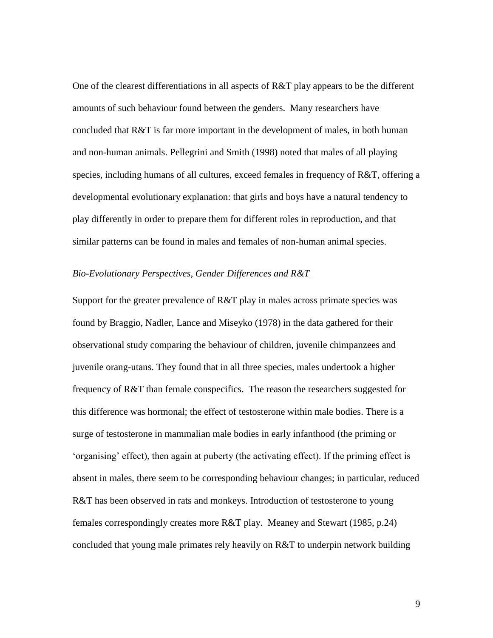One of the clearest differentiations in all aspects of R&T play appears to be the different amounts of such behaviour found between the genders. Many researchers have concluded that R&T is far more important in the development of males, in both human and non-human animals. Pellegrini and Smith (1998) noted that males of all playing species, including humans of all cultures, exceed females in frequency of R&T, offering a developmental evolutionary explanation: that girls and boys have a natural tendency to play differently in order to prepare them for different roles in reproduction, and that similar patterns can be found in males and females of non-human animal species.

#### *Bio-Evolutionary Perspectives, Gender Differences and R&T*

Support for the greater prevalence of R&T play in males across primate species was found by Braggio, Nadler, Lance and Miseyko (1978) in the data gathered for their observational study comparing the behaviour of children, juvenile chimpanzees and juvenile orang-utans. They found that in all three species, males undertook a higher frequency of R&T than female conspecifics. The reason the researchers suggested for this difference was hormonal; the effect of testosterone within male bodies. There is a surge of testosterone in mammalian male bodies in early infanthood (the priming or 'organising' effect), then again at puberty (the activating effect). If the priming effect is absent in males, there seem to be corresponding behaviour changes; in particular, reduced R&T has been observed in rats and monkeys. Introduction of testosterone to young females correspondingly creates more R&T play. Meaney and Stewart (1985, p.24) concluded that young male primates rely heavily on R&T to underpin network building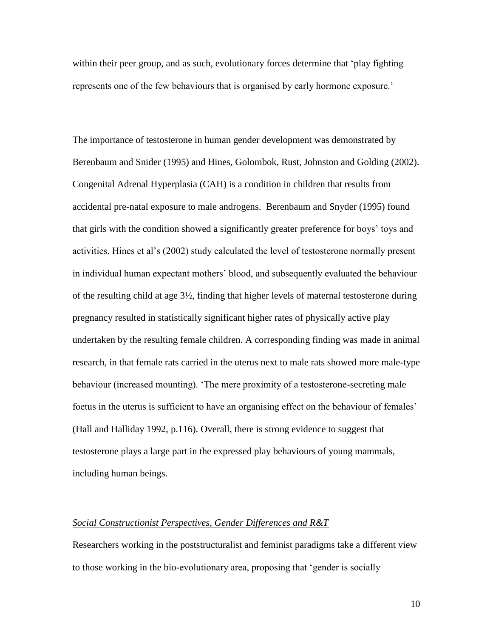within their peer group, and as such, evolutionary forces determine that 'play fighting represents one of the few behaviours that is organised by early hormone exposure.'

The importance of testosterone in human gender development was demonstrated by Berenbaum and Snider (1995) and Hines, Golombok, Rust, Johnston and Golding (2002). Congenital Adrenal Hyperplasia (CAH) is a condition in children that results from accidental pre-natal exposure to male androgens. Berenbaum and Snyder (1995) found that girls with the condition showed a significantly greater preference for boys' toys and activities. Hines et al's (2002) study calculated the level of testosterone normally present in individual human expectant mothers' blood, and subsequently evaluated the behaviour of the resulting child at age 3½, finding that higher levels of maternal testosterone during pregnancy resulted in statistically significant higher rates of physically active play undertaken by the resulting female children. A corresponding finding was made in animal research, in that female rats carried in the uterus next to male rats showed more male-type behaviour (increased mounting). 'The mere proximity of a testosterone-secreting male foetus in the uterus is sufficient to have an organising effect on the behaviour of females' (Hall and Halliday 1992, p.116). Overall, there is strong evidence to suggest that testosterone plays a large part in the expressed play behaviours of young mammals, including human beings.

## *Social Constructionist Perspectives, Gender Differences and R&T*

Researchers working in the poststructuralist and feminist paradigms take a different view to those working in the bio-evolutionary area, proposing that 'gender is socially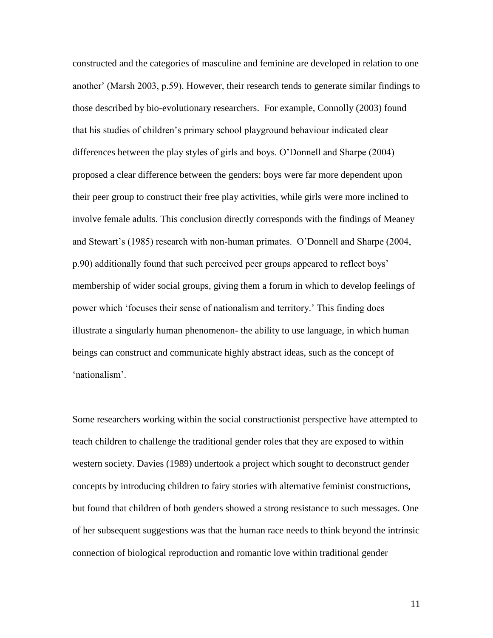constructed and the categories of masculine and feminine are developed in relation to one another' (Marsh 2003, p.59). However, their research tends to generate similar findings to those described by bio-evolutionary researchers. For example, Connolly (2003) found that his studies of children's primary school playground behaviour indicated clear differences between the play styles of girls and boys. O'Donnell and Sharpe (2004) proposed a clear difference between the genders: boys were far more dependent upon their peer group to construct their free play activities, while girls were more inclined to involve female adults. This conclusion directly corresponds with the findings of Meaney and Stewart's (1985) research with non-human primates. O'Donnell and Sharpe (2004, p.90) additionally found that such perceived peer groups appeared to reflect boys' membership of wider social groups, giving them a forum in which to develop feelings of power which 'focuses their sense of nationalism and territory.' This finding does illustrate a singularly human phenomenon- the ability to use language, in which human beings can construct and communicate highly abstract ideas, such as the concept of 'nationalism'.

Some researchers working within the social constructionist perspective have attempted to teach children to challenge the traditional gender roles that they are exposed to within western society. Davies (1989) undertook a project which sought to deconstruct gender concepts by introducing children to fairy stories with alternative feminist constructions, but found that children of both genders showed a strong resistance to such messages. One of her subsequent suggestions was that the human race needs to think beyond the intrinsic connection of biological reproduction and romantic love within traditional gender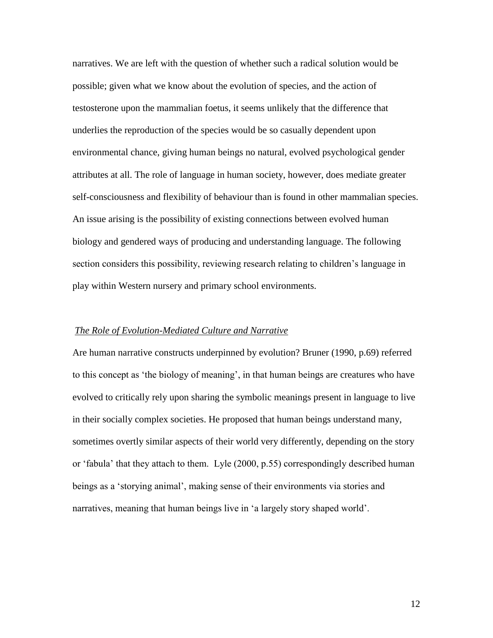narratives. We are left with the question of whether such a radical solution would be possible; given what we know about the evolution of species, and the action of testosterone upon the mammalian foetus, it seems unlikely that the difference that underlies the reproduction of the species would be so casually dependent upon environmental chance, giving human beings no natural, evolved psychological gender attributes at all. The role of language in human society, however, does mediate greater self-consciousness and flexibility of behaviour than is found in other mammalian species. An issue arising is the possibility of existing connections between evolved human biology and gendered ways of producing and understanding language. The following section considers this possibility, reviewing research relating to children's language in play within Western nursery and primary school environments.

## *The Role of Evolution-Mediated Culture and Narrative*

Are human narrative constructs underpinned by evolution? Bruner (1990, p.69) referred to this concept as 'the biology of meaning', in that human beings are creatures who have evolved to critically rely upon sharing the symbolic meanings present in language to live in their socially complex societies. He proposed that human beings understand many, sometimes overtly similar aspects of their world very differently, depending on the story or 'fabula' that they attach to them. Lyle (2000, p.55) correspondingly described human beings as a 'storying animal', making sense of their environments via stories and narratives, meaning that human beings live in 'a largely story shaped world'.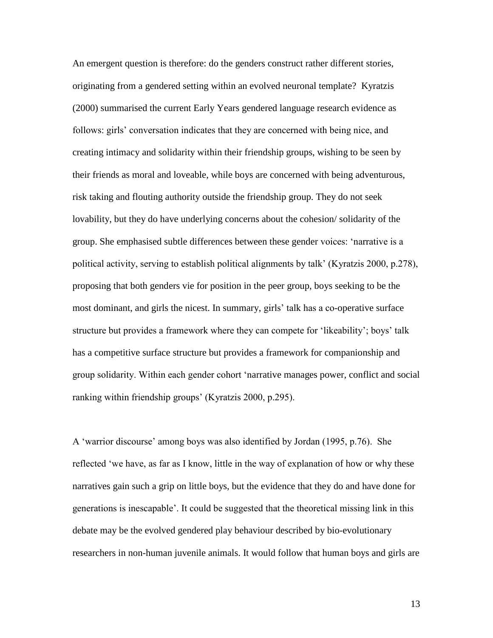An emergent question is therefore: do the genders construct rather different stories, originating from a gendered setting within an evolved neuronal template? Kyratzis (2000) summarised the current Early Years gendered language research evidence as follows: girls' conversation indicates that they are concerned with being nice, and creating intimacy and solidarity within their friendship groups, wishing to be seen by their friends as moral and loveable, while boys are concerned with being adventurous, risk taking and flouting authority outside the friendship group. They do not seek lovability, but they do have underlying concerns about the cohesion/ solidarity of the group. She emphasised subtle differences between these gender voices: 'narrative is a political activity, serving to establish political alignments by talk' (Kyratzis 2000, p.278), proposing that both genders vie for position in the peer group, boys seeking to be the most dominant, and girls the nicest. In summary, girls' talk has a co-operative surface structure but provides a framework where they can compete for 'likeability'; boys' talk has a competitive surface structure but provides a framework for companionship and group solidarity. Within each gender cohort 'narrative manages power, conflict and social ranking within friendship groups' (Kyratzis 2000, p.295).

A 'warrior discourse' among boys was also identified by Jordan (1995, p.76). She reflected 'we have, as far as I know, little in the way of explanation of how or why these narratives gain such a grip on little boys, but the evidence that they do and have done for generations is inescapable'. It could be suggested that the theoretical missing link in this debate may be the evolved gendered play behaviour described by bio-evolutionary researchers in non-human juvenile animals. It would follow that human boys and girls are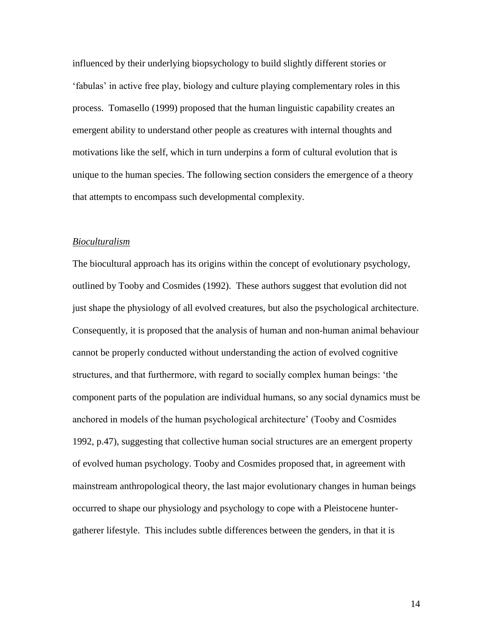influenced by their underlying biopsychology to build slightly different stories or 'fabulas' in active free play, biology and culture playing complementary roles in this process. Tomasello (1999) proposed that the human linguistic capability creates an emergent ability to understand other people as creatures with internal thoughts and motivations like the self, which in turn underpins a form of cultural evolution that is unique to the human species. The following section considers the emergence of a theory that attempts to encompass such developmental complexity.

## *Bioculturalism*

The biocultural approach has its origins within the concept of evolutionary psychology, outlined by Tooby and Cosmides (1992). These authors suggest that evolution did not just shape the physiology of all evolved creatures, but also the psychological architecture. Consequently, it is proposed that the analysis of human and non-human animal behaviour cannot be properly conducted without understanding the action of evolved cognitive structures, and that furthermore, with regard to socially complex human beings: 'the component parts of the population are individual humans, so any social dynamics must be anchored in models of the human psychological architecture' (Tooby and Cosmides 1992, p.47), suggesting that collective human social structures are an emergent property of evolved human psychology. Tooby and Cosmides proposed that, in agreement with mainstream anthropological theory, the last major evolutionary changes in human beings occurred to shape our physiology and psychology to cope with a Pleistocene huntergatherer lifestyle. This includes subtle differences between the genders, in that it is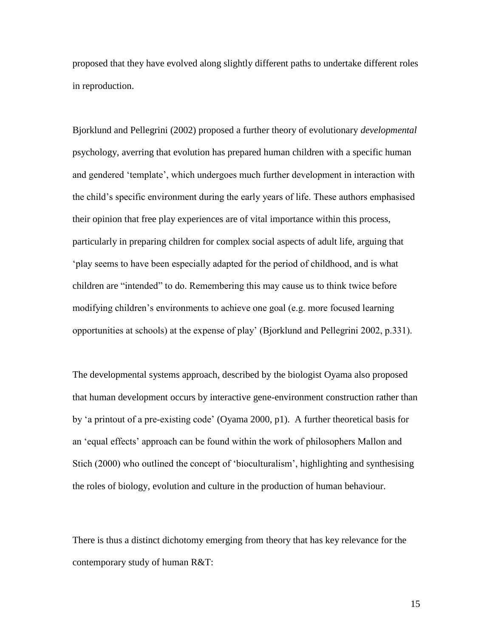proposed that they have evolved along slightly different paths to undertake different roles in reproduction.

Bjorklund and Pellegrini (2002) proposed a further theory of evolutionary *developmental*  psychology, averring that evolution has prepared human children with a specific human and gendered 'template', which undergoes much further development in interaction with the child's specific environment during the early years of life. These authors emphasised their opinion that free play experiences are of vital importance within this process, particularly in preparing children for complex social aspects of adult life, arguing that 'play seems to have been especially adapted for the period of childhood, and is what children are "intended" to do. Remembering this may cause us to think twice before modifying children's environments to achieve one goal (e.g. more focused learning opportunities at schools) at the expense of play' (Bjorklund and Pellegrini 2002, p.331).

The developmental systems approach, described by the biologist Oyama also proposed that human development occurs by interactive gene-environment construction rather than by 'a printout of a pre-existing code' (Oyama 2000, p1). A further theoretical basis for an 'equal effects' approach can be found within the work of philosophers Mallon and Stich (2000) who outlined the concept of 'bioculturalism', highlighting and synthesising the roles of biology, evolution and culture in the production of human behaviour.

There is thus a distinct dichotomy emerging from theory that has key relevance for the contemporary study of human R&T: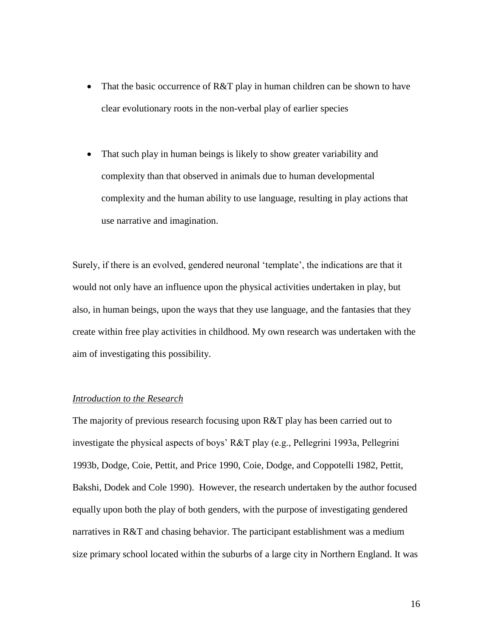- That the basic occurrence of R&T play in human children can be shown to have clear evolutionary roots in the non-verbal play of earlier species
- That such play in human beings is likely to show greater variability and complexity than that observed in animals due to human developmental complexity and the human ability to use language, resulting in play actions that use narrative and imagination.

Surely, if there is an evolved, gendered neuronal 'template', the indications are that it would not only have an influence upon the physical activities undertaken in play, but also, in human beings, upon the ways that they use language, and the fantasies that they create within free play activities in childhood. My own research was undertaken with the aim of investigating this possibility.

### *Introduction to the Research*

The majority of previous research focusing upon R&T play has been carried out to investigate the physical aspects of boys' R&T play (e.g., Pellegrini 1993a, Pellegrini 1993b, Dodge, Coie, Pettit, and Price 1990, Coie, Dodge, and Coppotelli 1982, Pettit, Bakshi, Dodek and Cole 1990). However, the research undertaken by the author focused equally upon both the play of both genders, with the purpose of investigating gendered narratives in R&T and chasing behavior. The participant establishment was a medium size primary school located within the suburbs of a large city in Northern England. It was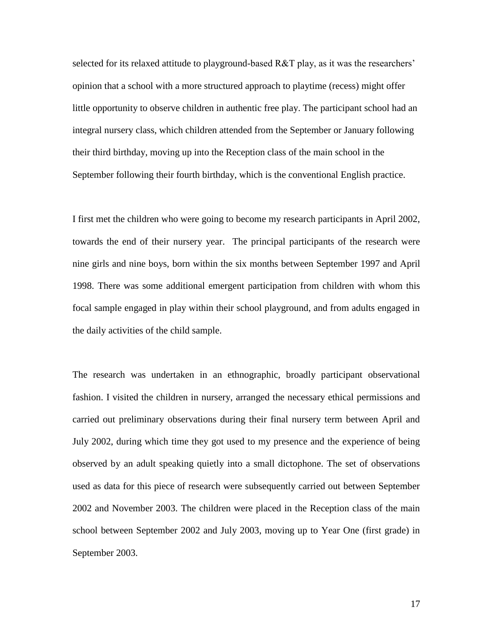selected for its relaxed attitude to playground-based R&T play, as it was the researchers' opinion that a school with a more structured approach to playtime (recess) might offer little opportunity to observe children in authentic free play. The participant school had an integral nursery class, which children attended from the September or January following their third birthday, moving up into the Reception class of the main school in the September following their fourth birthday, which is the conventional English practice.

I first met the children who were going to become my research participants in April 2002, towards the end of their nursery year. The principal participants of the research were nine girls and nine boys, born within the six months between September 1997 and April 1998. There was some additional emergent participation from children with whom this focal sample engaged in play within their school playground, and from adults engaged in the daily activities of the child sample.

The research was undertaken in an ethnographic, broadly participant observational fashion. I visited the children in nursery, arranged the necessary ethical permissions and carried out preliminary observations during their final nursery term between April and July 2002, during which time they got used to my presence and the experience of being observed by an adult speaking quietly into a small dictophone. The set of observations used as data for this piece of research were subsequently carried out between September 2002 and November 2003. The children were placed in the Reception class of the main school between September 2002 and July 2003, moving up to Year One (first grade) in September 2003.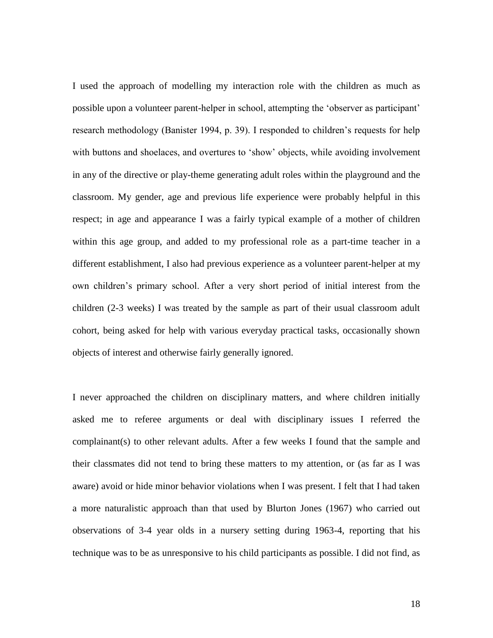I used the approach of modelling my interaction role with the children as much as possible upon a volunteer parent-helper in school, attempting the 'observer as participant' research methodology (Banister 1994, p. 39). I responded to children's requests for help with buttons and shoelaces, and overtures to 'show' objects, while avoiding involvement in any of the directive or play-theme generating adult roles within the playground and the classroom. My gender, age and previous life experience were probably helpful in this respect; in age and appearance I was a fairly typical example of a mother of children within this age group, and added to my professional role as a part-time teacher in a different establishment, I also had previous experience as a volunteer parent-helper at my own children's primary school. After a very short period of initial interest from the children (2-3 weeks) I was treated by the sample as part of their usual classroom adult cohort, being asked for help with various everyday practical tasks, occasionally shown objects of interest and otherwise fairly generally ignored.

I never approached the children on disciplinary matters, and where children initially asked me to referee arguments or deal with disciplinary issues I referred the complainant(s) to other relevant adults. After a few weeks I found that the sample and their classmates did not tend to bring these matters to my attention, or (as far as I was aware) avoid or hide minor behavior violations when I was present. I felt that I had taken a more naturalistic approach than that used by Blurton Jones (1967) who carried out observations of 3-4 year olds in a nursery setting during 1963-4, reporting that his technique was to be as unresponsive to his child participants as possible. I did not find, as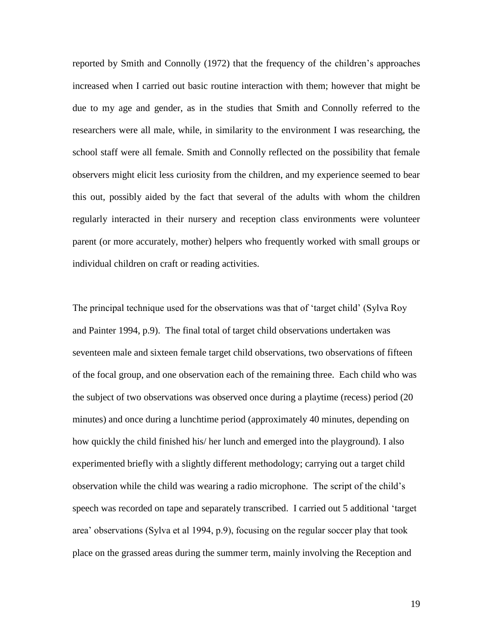reported by Smith and Connolly (1972) that the frequency of the children's approaches increased when I carried out basic routine interaction with them; however that might be due to my age and gender, as in the studies that Smith and Connolly referred to the researchers were all male, while, in similarity to the environment I was researching, the school staff were all female. Smith and Connolly reflected on the possibility that female observers might elicit less curiosity from the children, and my experience seemed to bear this out, possibly aided by the fact that several of the adults with whom the children regularly interacted in their nursery and reception class environments were volunteer parent (or more accurately, mother) helpers who frequently worked with small groups or individual children on craft or reading activities.

The principal technique used for the observations was that of 'target child' (Sylva Roy and Painter 1994, p.9). The final total of target child observations undertaken was seventeen male and sixteen female target child observations, two observations of fifteen of the focal group, and one observation each of the remaining three. Each child who was the subject of two observations was observed once during a playtime (recess) period (20 minutes) and once during a lunchtime period (approximately 40 minutes, depending on how quickly the child finished his/ her lunch and emerged into the playground). I also experimented briefly with a slightly different methodology; carrying out a target child observation while the child was wearing a radio microphone. The script of the child's speech was recorded on tape and separately transcribed. I carried out 5 additional 'target area' observations (Sylva et al 1994, p.9), focusing on the regular soccer play that took place on the grassed areas during the summer term, mainly involving the Reception and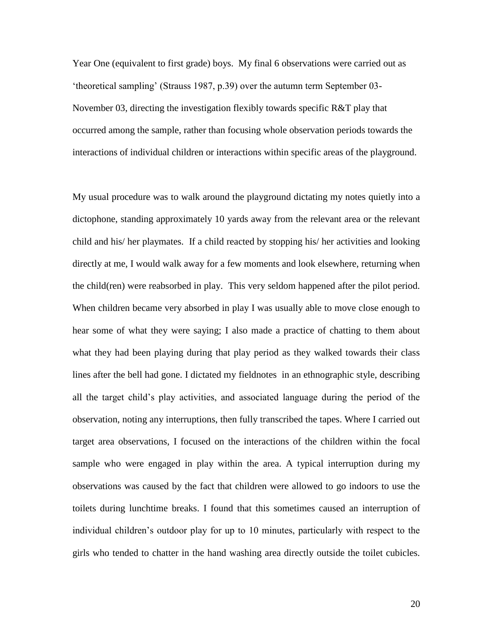Year One (equivalent to first grade) boys. My final 6 observations were carried out as 'theoretical sampling' (Strauss 1987, p.39) over the autumn term September 03- November 03, directing the investigation flexibly towards specific R&T play that occurred among the sample, rather than focusing whole observation periods towards the interactions of individual children or interactions within specific areas of the playground.

My usual procedure was to walk around the playground dictating my notes quietly into a dictophone, standing approximately 10 yards away from the relevant area or the relevant child and his/ her playmates. If a child reacted by stopping his/ her activities and looking directly at me, I would walk away for a few moments and look elsewhere, returning when the child(ren) were reabsorbed in play. This very seldom happened after the pilot period. When children became very absorbed in play I was usually able to move close enough to hear some of what they were saying; I also made a practice of chatting to them about what they had been playing during that play period as they walked towards their class lines after the bell had gone. I dictated my fieldnotes in an ethnographic style, describing all the target child's play activities, and associated language during the period of the observation, noting any interruptions, then fully transcribed the tapes. Where I carried out target area observations, I focused on the interactions of the children within the focal sample who were engaged in play within the area. A typical interruption during my observations was caused by the fact that children were allowed to go indoors to use the toilets during lunchtime breaks. I found that this sometimes caused an interruption of individual children's outdoor play for up to 10 minutes, particularly with respect to the girls who tended to chatter in the hand washing area directly outside the toilet cubicles.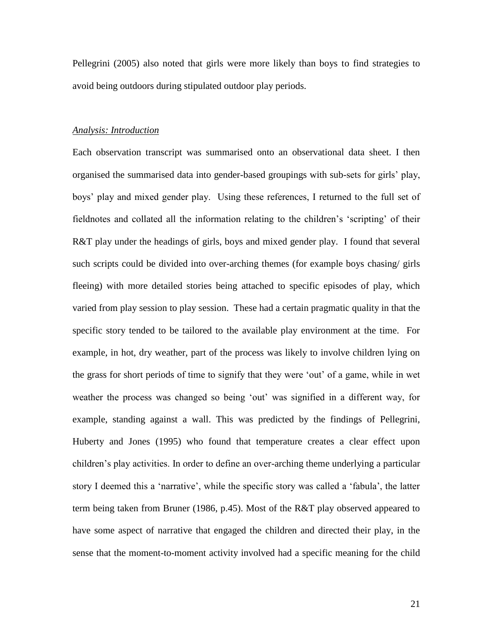Pellegrini (2005) also noted that girls were more likely than boys to find strategies to avoid being outdoors during stipulated outdoor play periods.

## *Analysis: Introduction*

Each observation transcript was summarised onto an observational data sheet. I then organised the summarised data into gender-based groupings with sub-sets for girls' play, boys' play and mixed gender play. Using these references, I returned to the full set of fieldnotes and collated all the information relating to the children's 'scripting' of their R&T play under the headings of girls, boys and mixed gender play. I found that several such scripts could be divided into over-arching themes (for example boys chasing/ girls fleeing) with more detailed stories being attached to specific episodes of play, which varied from play session to play session. These had a certain pragmatic quality in that the specific story tended to be tailored to the available play environment at the time. For example, in hot, dry weather, part of the process was likely to involve children lying on the grass for short periods of time to signify that they were 'out' of a game, while in wet weather the process was changed so being 'out' was signified in a different way, for example, standing against a wall. This was predicted by the findings of Pellegrini, Huberty and Jones (1995) who found that temperature creates a clear effect upon children's play activities. In order to define an over-arching theme underlying a particular story I deemed this a 'narrative', while the specific story was called a 'fabula', the latter term being taken from Bruner (1986, p.45). Most of the R&T play observed appeared to have some aspect of narrative that engaged the children and directed their play, in the sense that the moment-to-moment activity involved had a specific meaning for the child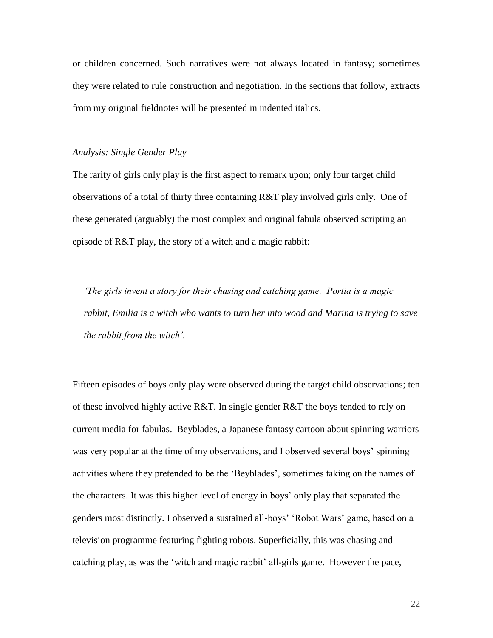or children concerned. Such narratives were not always located in fantasy; sometimes they were related to rule construction and negotiation. In the sections that follow, extracts from my original fieldnotes will be presented in indented italics.

#### *Analysis: Single Gender Play*

The rarity of girls only play is the first aspect to remark upon; only four target child observations of a total of thirty three containing R&T play involved girls only. One of these generated (arguably) the most complex and original fabula observed scripting an episode of R&T play, the story of a witch and a magic rabbit:

*'The girls invent a story for their chasing and catching game. Portia is a magic rabbit, Emilia is a witch who wants to turn her into wood and Marina is trying to save the rabbit from the witch'.*

Fifteen episodes of boys only play were observed during the target child observations; ten of these involved highly active R&T. In single gender R&T the boys tended to rely on current media for fabulas. Beyblades, a Japanese fantasy cartoon about spinning warriors was very popular at the time of my observations, and I observed several boys' spinning activities where they pretended to be the 'Beyblades', sometimes taking on the names of the characters. It was this higher level of energy in boys' only play that separated the genders most distinctly. I observed a sustained all-boys' 'Robot Wars' game, based on a television programme featuring fighting robots. Superficially, this was chasing and catching play, as was the 'witch and magic rabbit' all-girls game. However the pace,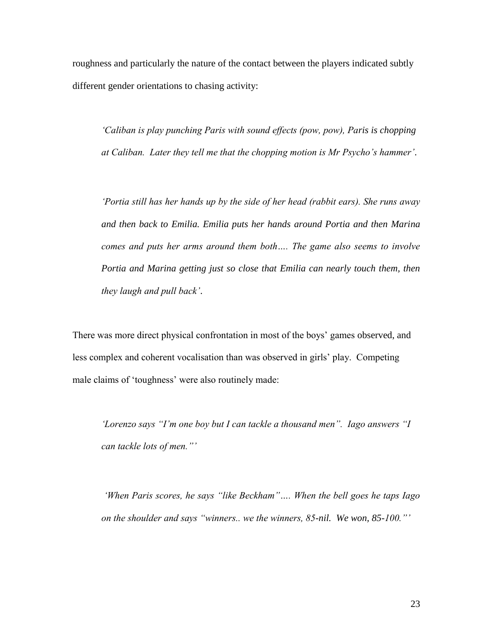roughness and particularly the nature of the contact between the players indicated subtly different gender orientations to chasing activity:

*'Caliban is play punching Paris with sound effects (pow, pow), Paris is chopping at Caliban. Later they tell me that the chopping motion is Mr Psycho's hammer'*.

*'Portia still has her hands up by the side of her head (rabbit ears). She runs away and then back to Emilia. Emilia puts her hands around Portia and then Marina comes and puts her arms around them both…. The game also seems to involve*  Portia and Marina getting just so close that Emilia can nearly touch them, then *they laugh and pull back'*.

There was more direct physical confrontation in most of the boys' games observed, and less complex and coherent vocalisation than was observed in girls' play. Competing male claims of 'toughness' were also routinely made:

*'Lorenzo says "I'm one boy but I can tackle a thousand men". Iago answers "I can tackle lots of men."'*

*'When Paris scores, he says "like Beckham"…. When the bell goes he taps Iago on the shoulder and says "winners.. we the winners, 85-nil. We won, 85-100."'*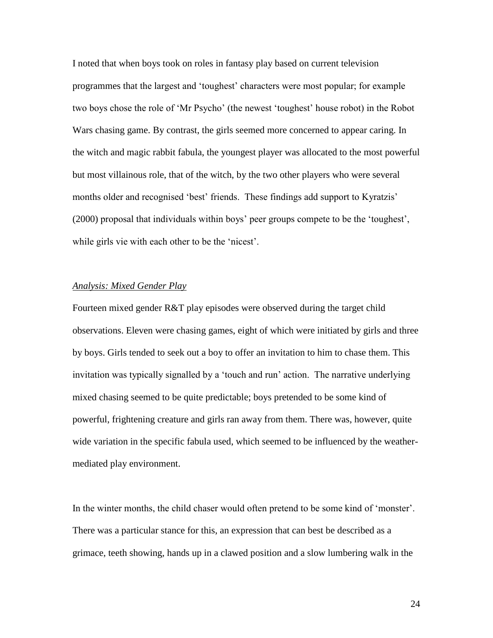I noted that when boys took on roles in fantasy play based on current television programmes that the largest and 'toughest' characters were most popular; for example two boys chose the role of 'Mr Psycho' (the newest 'toughest' house robot) in the Robot Wars chasing game. By contrast, the girls seemed more concerned to appear caring. In the witch and magic rabbit fabula, the youngest player was allocated to the most powerful but most villainous role, that of the witch, by the two other players who were several months older and recognised 'best' friends. These findings add support to Kyratzis' (2000) proposal that individuals within boys' peer groups compete to be the 'toughest', while girls vie with each other to be the 'nicest'.

## *Analysis: Mixed Gender Play*

Fourteen mixed gender R&T play episodes were observed during the target child observations. Eleven were chasing games, eight of which were initiated by girls and three by boys. Girls tended to seek out a boy to offer an invitation to him to chase them. This invitation was typically signalled by a 'touch and run' action. The narrative underlying mixed chasing seemed to be quite predictable; boys pretended to be some kind of powerful, frightening creature and girls ran away from them. There was, however, quite wide variation in the specific fabula used, which seemed to be influenced by the weathermediated play environment.

In the winter months, the child chaser would often pretend to be some kind of 'monster'. There was a particular stance for this, an expression that can best be described as a grimace, teeth showing, hands up in a clawed position and a slow lumbering walk in the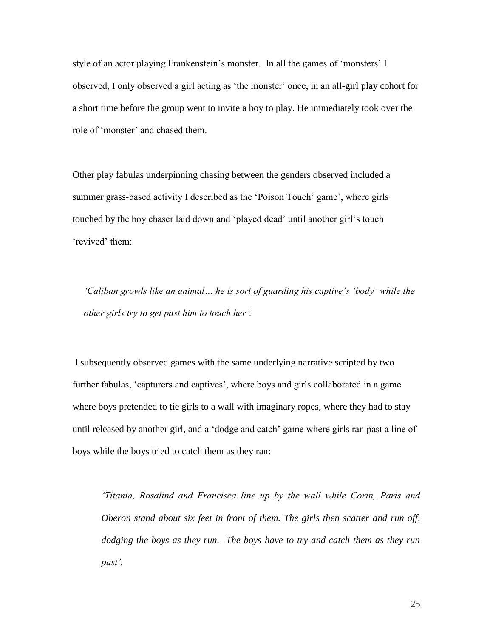style of an actor playing Frankenstein's monster. In all the games of 'monsters' I observed, I only observed a girl acting as 'the monster' once, in an all-girl play cohort for a short time before the group went to invite a boy to play. He immediately took over the role of 'monster' and chased them.

Other play fabulas underpinning chasing between the genders observed included a summer grass-based activity I described as the 'Poison Touch' game', where girls touched by the boy chaser laid down and 'played dead' until another girl's touch 'revived' them:

*'Caliban growls like an animal… he is sort of guarding his captive's 'body' while the other girls try to get past him to touch her'.*

I subsequently observed games with the same underlying narrative scripted by two further fabulas, 'capturers and captives', where boys and girls collaborated in a game where boys pretended to tie girls to a wall with imaginary ropes, where they had to stay until released by another girl, and a 'dodge and catch' game where girls ran past a line of boys while the boys tried to catch them as they ran:

*'Titania, Rosalind and Francisca line up by the wall while Corin, Paris and Oberon stand about six feet in front of them. The girls then scatter and run off, dodging the boys as they run. The boys have to try and catch them as they run past'.*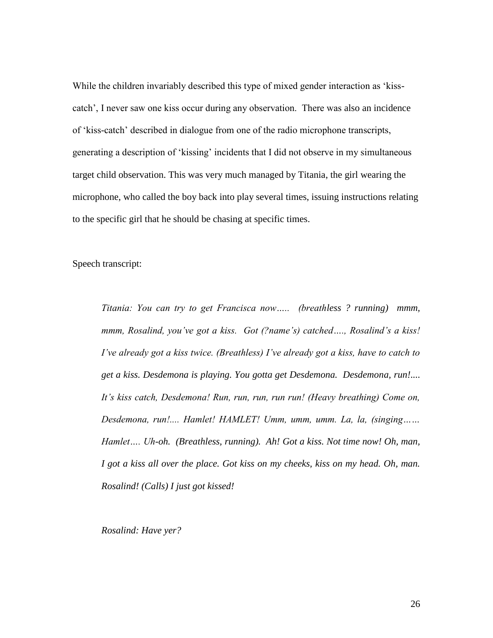While the children invariably described this type of mixed gender interaction as 'kisscatch', I never saw one kiss occur during any observation. There was also an incidence of 'kiss-catch' described in dialogue from one of the radio microphone transcripts, generating a description of 'kissing' incidents that I did not observe in my simultaneous target child observation. This was very much managed by Titania, the girl wearing the microphone, who called the boy back into play several times, issuing instructions relating to the specific girl that he should be chasing at specific times.

Speech transcript:

*Titania: You can try to get Francisca now….. (breathless ? running) mmm, mmm, Rosalind, you've got a kiss. Got (?name's) catched…., Rosalind's a kiss! I've already got a kiss twice. (Breathless) I've already got a kiss, have to catch to get a kiss. Desdemona is playing. You gotta get Desdemona. Desdemona, run!.... It's kiss catch, Desdemona! Run, run, run, run run! (Heavy breathing) Come on, Desdemona, run!.... Hamlet! HAMLET! Umm, umm, umm. La, la, (singing…… Hamlet…. Uh-oh. (Breathless, running). Ah! Got a kiss. Not time now! Oh, man, I got a kiss all over the place. Got kiss on my cheeks, kiss on my head. Oh, man. Rosalind! (Calls) I just got kissed!*

*Rosalind: Have yer?*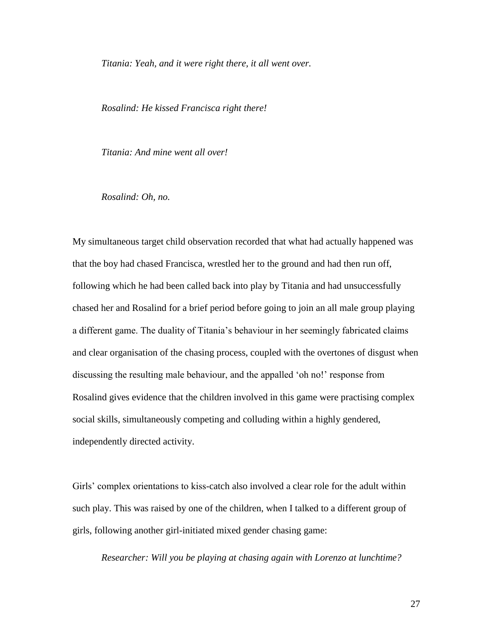*Titania: Yeah, and it were right there, it all went over.* 

*Rosalind: He kissed Francisca right there!*

*Titania: And mine went all over!*

*Rosalind: Oh, no.*

My simultaneous target child observation recorded that what had actually happened was that the boy had chased Francisca, wrestled her to the ground and had then run off, following which he had been called back into play by Titania and had unsuccessfully chased her and Rosalind for a brief period before going to join an all male group playing a different game. The duality of Titania's behaviour in her seemingly fabricated claims and clear organisation of the chasing process, coupled with the overtones of disgust when discussing the resulting male behaviour, and the appalled 'oh no!' response from Rosalind gives evidence that the children involved in this game were practising complex social skills, simultaneously competing and colluding within a highly gendered, independently directed activity.

Girls' complex orientations to kiss-catch also involved a clear role for the adult within such play. This was raised by one of the children, when I talked to a different group of girls, following another girl-initiated mixed gender chasing game:

*Researcher: Will you be playing at chasing again with Lorenzo at lunchtime?*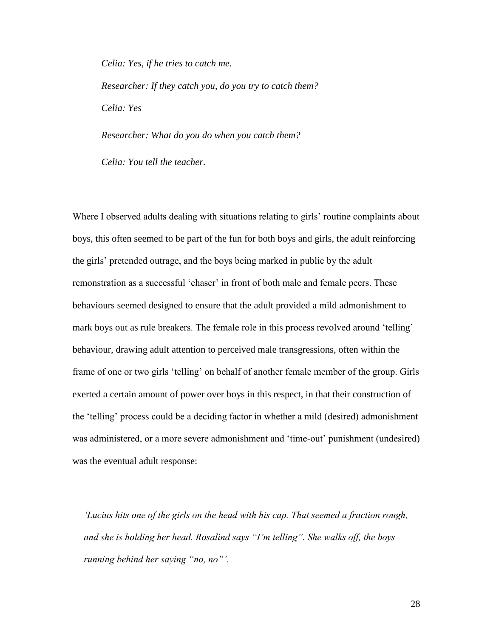*Celia: Yes, if he tries to catch me. Researcher: If they catch you, do you try to catch them? Celia: Yes*

*Researcher: What do you do when you catch them?*

*Celia: You tell the teacher.*

Where I observed adults dealing with situations relating to girls' routine complaints about boys, this often seemed to be part of the fun for both boys and girls, the adult reinforcing the girls' pretended outrage, and the boys being marked in public by the adult remonstration as a successful 'chaser' in front of both male and female peers. These behaviours seemed designed to ensure that the adult provided a mild admonishment to mark boys out as rule breakers. The female role in this process revolved around 'telling' behaviour, drawing adult attention to perceived male transgressions, often within the frame of one or two girls 'telling' on behalf of another female member of the group. Girls exerted a certain amount of power over boys in this respect, in that their construction of the 'telling' process could be a deciding factor in whether a mild (desired) admonishment was administered, or a more severe admonishment and 'time-out' punishment (undesired) was the eventual adult response:

*'Lucius hits one of the girls on the head with his cap. That seemed a fraction rough, and she is holding her head. Rosalind says "I'm telling". She walks off, the boys running behind her saying "no, no"'.*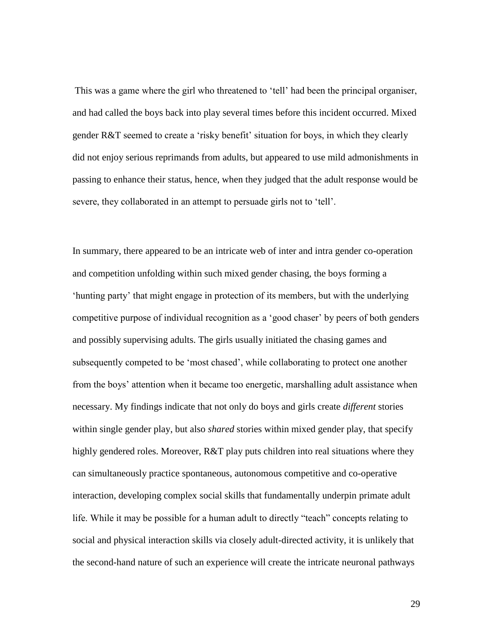This was a game where the girl who threatened to 'tell' had been the principal organiser, and had called the boys back into play several times before this incident occurred. Mixed gender R&T seemed to create a 'risky benefit' situation for boys, in which they clearly did not enjoy serious reprimands from adults, but appeared to use mild admonishments in passing to enhance their status, hence, when they judged that the adult response would be severe, they collaborated in an attempt to persuade girls not to 'tell'.

In summary, there appeared to be an intricate web of inter and intra gender co-operation and competition unfolding within such mixed gender chasing, the boys forming a 'hunting party' that might engage in protection of its members, but with the underlying competitive purpose of individual recognition as a 'good chaser' by peers of both genders and possibly supervising adults. The girls usually initiated the chasing games and subsequently competed to be 'most chased', while collaborating to protect one another from the boys' attention when it became too energetic, marshalling adult assistance when necessary. My findings indicate that not only do boys and girls create *different* stories within single gender play, but also *shared* stories within mixed gender play, that specify highly gendered roles. Moreover, R&T play puts children into real situations where they can simultaneously practice spontaneous, autonomous competitive and co-operative interaction, developing complex social skills that fundamentally underpin primate adult life. While it may be possible for a human adult to directly "teach" concepts relating to social and physical interaction skills via closely adult-directed activity, it is unlikely that the second-hand nature of such an experience will create the intricate neuronal pathways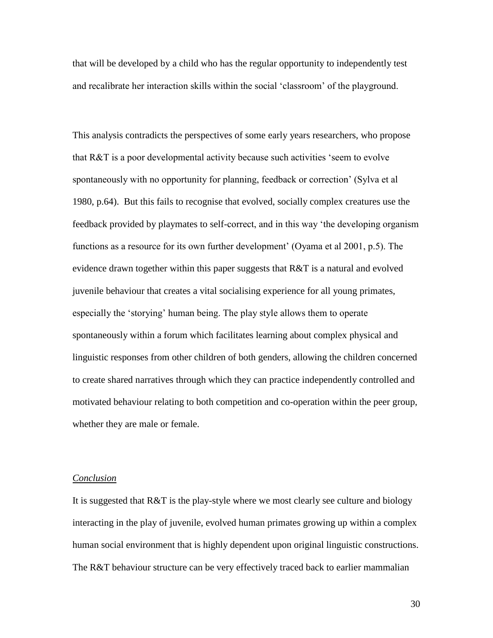that will be developed by a child who has the regular opportunity to independently test and recalibrate her interaction skills within the social 'classroom' of the playground.

This analysis contradicts the perspectives of some early years researchers, who propose that R&T is a poor developmental activity because such activities 'seem to evolve spontaneously with no opportunity for planning, feedback or correction' (Sylva et al 1980, p.64). But this fails to recognise that evolved, socially complex creatures use the feedback provided by playmates to self-correct, and in this way 'the developing organism functions as a resource for its own further development' (Oyama et al 2001, p.5). The evidence drawn together within this paper suggests that R&T is a natural and evolved juvenile behaviour that creates a vital socialising experience for all young primates, especially the 'storying' human being. The play style allows them to operate spontaneously within a forum which facilitates learning about complex physical and linguistic responses from other children of both genders, allowing the children concerned to create shared narratives through which they can practice independently controlled and motivated behaviour relating to both competition and co-operation within the peer group, whether they are male or female.

# *Conclusion*

It is suggested that R&T is the play-style where we most clearly see culture and biology interacting in the play of juvenile, evolved human primates growing up within a complex human social environment that is highly dependent upon original linguistic constructions. The R&T behaviour structure can be very effectively traced back to earlier mammalian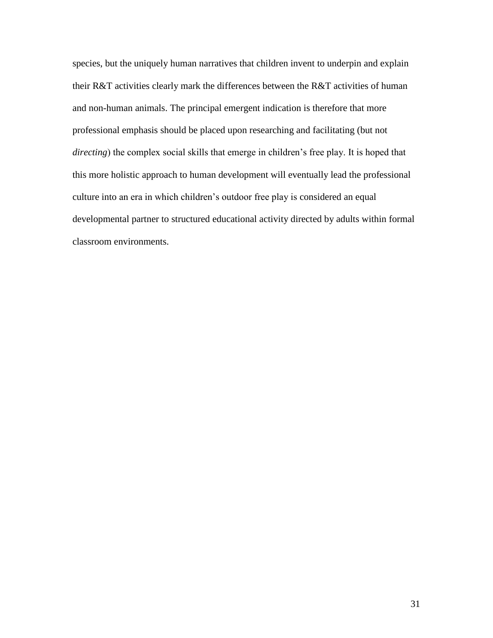species, but the uniquely human narratives that children invent to underpin and explain their R&T activities clearly mark the differences between the R&T activities of human and non-human animals. The principal emergent indication is therefore that more professional emphasis should be placed upon researching and facilitating (but not *directing*) the complex social skills that emerge in children's free play. It is hoped that this more holistic approach to human development will eventually lead the professional culture into an era in which children's outdoor free play is considered an equal developmental partner to structured educational activity directed by adults within formal classroom environments.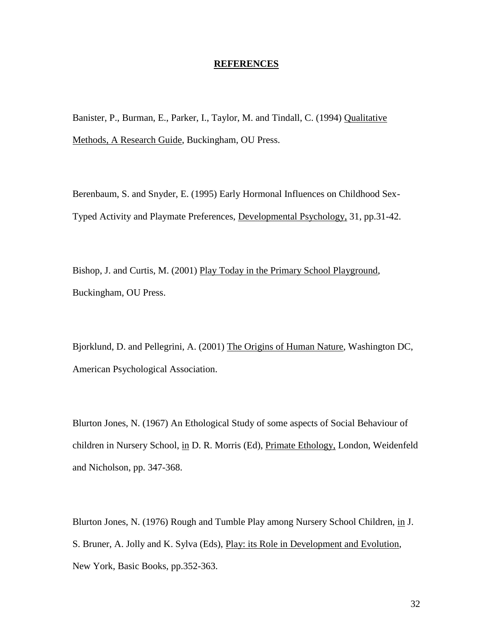#### **REFERENCES**

Banister, P., Burman, E., Parker, I., Taylor, M. and Tindall, C. (1994) Qualitative Methods, A Research Guide, Buckingham, OU Press.

Berenbaum, S. and Snyder, E. (1995) Early Hormonal Influences on Childhood Sex-Typed Activity and Playmate Preferences, Developmental Psychology, 31, pp.31-42.

Bishop, J. and Curtis, M. (2001) Play Today in the Primary School Playground, Buckingham, OU Press.

Bjorklund, D. and Pellegrini, A. (2001) The Origins of Human Nature, Washington DC, American Psychological Association.

Blurton Jones, N. (1967) An Ethological Study of some aspects of Social Behaviour of children in Nursery School, in D. R. Morris (Ed), Primate Ethology, London, Weidenfeld and Nicholson, pp. 347-368.

Blurton Jones, N. (1976) Rough and Tumble Play among Nursery School Children, in J. S. Bruner, A. Jolly and K. Sylva (Eds), Play: its Role in Development and Evolution, New York, Basic Books, pp.352-363.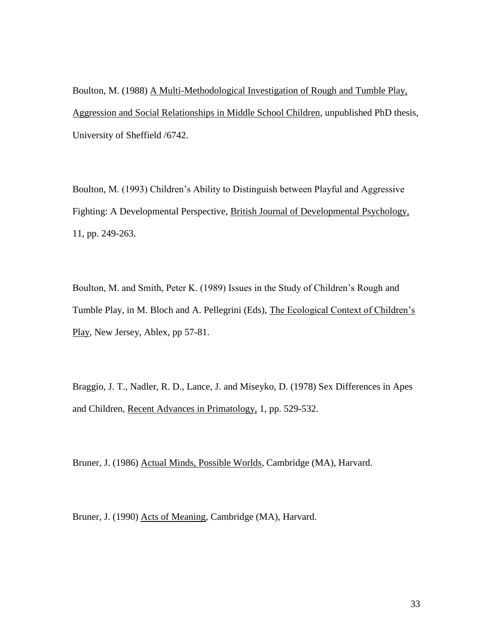Boulton, M. (1988) A Multi-Methodological Investigation of Rough and Tumble Play, Aggression and Social Relationships in Middle School Children, unpublished PhD thesis, University of Sheffield /6742.

Boulton, M. (1993) Children's Ability to Distinguish between Playful and Aggressive Fighting: A Developmental Perspective, British Journal of Developmental Psychology, 11, pp. 249-263.

Boulton, M. and Smith, Peter K. (1989) Issues in the Study of Children's Rough and Tumble Play, in M. Bloch and A. Pellegrini (Eds), The Ecological Context of Children's Play, New Jersey, Ablex, pp 57-81.

Braggio, J. T., Nadler, R. D., Lance, J. and Miseyko, D. (1978) Sex Differences in Apes and Children, Recent Advances in Primatology, 1, pp. 529-532.

Bruner, J. (1986) Actual Minds, Possible Worlds, Cambridge (MA), Harvard.

Bruner, J. (1990) Acts of Meaning, Cambridge (MA), Harvard.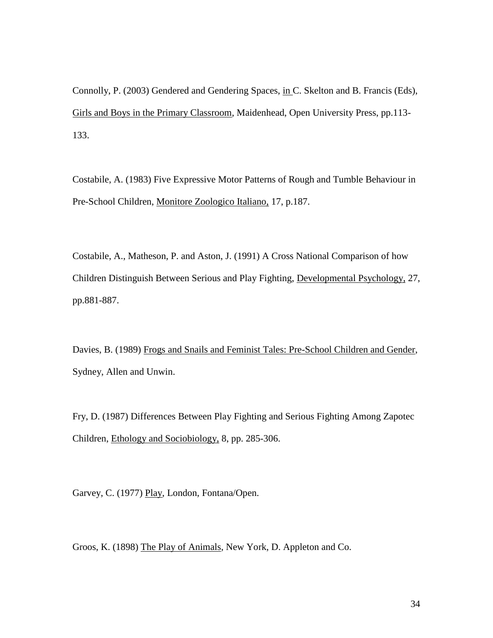Connolly, P. (2003) Gendered and Gendering Spaces, in C. Skelton and B. Francis (Eds), Girls and Boys in the Primary Classroom, Maidenhead, Open University Press, pp.113- 133.

Costabile, A. (1983) Five Expressive Motor Patterns of Rough and Tumble Behaviour in Pre-School Children, Monitore Zoologico Italiano, 17, p.187.

Costabile, A., Matheson, P. and Aston, J. (1991) A Cross National Comparison of how Children Distinguish Between Serious and Play Fighting, Developmental Psychology, 27, pp.881-887.

Davies, B. (1989) Frogs and Snails and Feminist Tales: Pre-School Children and Gender, Sydney, Allen and Unwin.

Fry, D. (1987) Differences Between Play Fighting and Serious Fighting Among Zapotec Children, Ethology and Sociobiology, 8, pp. 285-306.

Garvey, C. (1977) Play, London, Fontana/Open.

Groos, K. (1898) The Play of Animals, New York, D. Appleton and Co.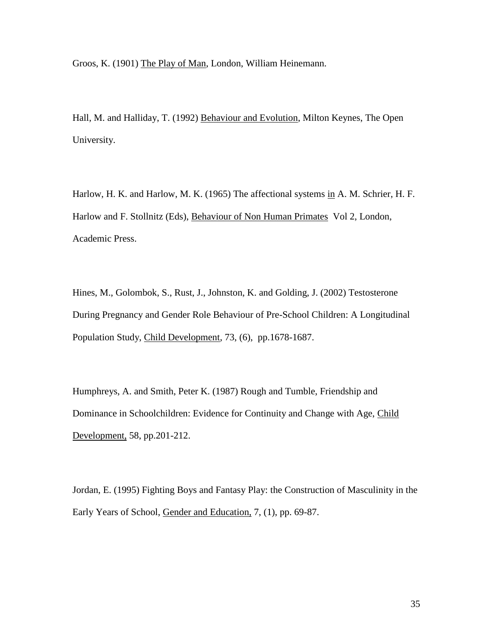Groos, K. (1901) The Play of Man, London, William Heinemann.

Hall, M. and Halliday, T. (1992) Behaviour and Evolution, Milton Keynes, The Open University.

Harlow, H. K. and Harlow, M. K. (1965) The affectional systems in A. M. Schrier, H. F. Harlow and F. Stollnitz (Eds), Behaviour of Non Human Primates Vol 2, London, Academic Press.

Hines, M., Golombok, S., Rust, J., Johnston, K. and Golding, J. (2002) Testosterone During Pregnancy and Gender Role Behaviour of Pre-School Children: A Longitudinal Population Study, Child Development, 73, (6), pp.1678-1687.

Humphreys, A. and Smith, Peter K. (1987) Rough and Tumble, Friendship and Dominance in Schoolchildren: Evidence for Continuity and Change with Age, Child Development, 58, pp.201-212.

Jordan, E. (1995) Fighting Boys and Fantasy Play: the Construction of Masculinity in the Early Years of School, Gender and Education, 7, (1), pp. 69-87.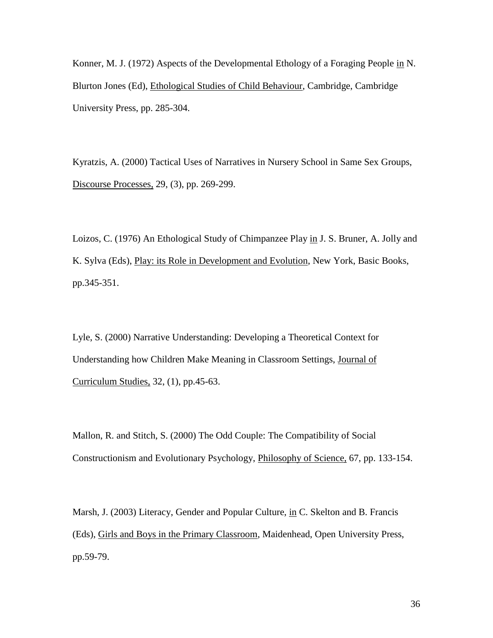Konner, M. J. (1972) Aspects of the Developmental Ethology of a Foraging People in N. Blurton Jones (Ed), Ethological Studies of Child Behaviour, Cambridge, Cambridge University Press, pp. 285-304.

Kyratzis, A. (2000) Tactical Uses of Narratives in Nursery School in Same Sex Groups, Discourse Processes, 29, (3), pp. 269-299.

Loizos, C. (1976) An Ethological Study of Chimpanzee Play in J. S. Bruner, A. Jolly and K. Sylva (Eds), Play: its Role in Development and Evolution, New York, Basic Books, pp.345-351.

Lyle, S. (2000) Narrative Understanding: Developing a Theoretical Context for Understanding how Children Make Meaning in Classroom Settings, Journal of Curriculum Studies, 32, (1), pp.45-63.

Mallon, R. and Stitch, S. (2000) The Odd Couple: The Compatibility of Social Constructionism and Evolutionary Psychology, Philosophy of Science, 67, pp. 133-154.

Marsh, J. (2003) Literacy, Gender and Popular Culture, in C. Skelton and B. Francis (Eds), Girls and Boys in the Primary Classroom, Maidenhead, Open University Press, pp.59-79.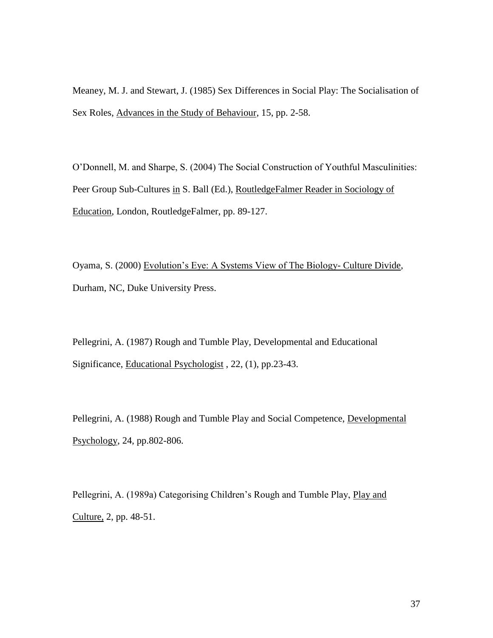Meaney, M. J. and Stewart, J. (1985) Sex Differences in Social Play: The Socialisation of Sex Roles, Advances in the Study of Behaviour, 15, pp. 2-58.

O'Donnell, M. and Sharpe, S. (2004) The Social Construction of Youthful Masculinities: Peer Group Sub-Cultures in S. Ball (Ed.), RoutledgeFalmer Reader in Sociology of Education, London, RoutledgeFalmer, pp. 89-127.

Oyama, S. (2000) Evolution's Eye: A Systems View of The Biology- Culture Divide, Durham, NC, Duke University Press.

Pellegrini, A. (1987) Rough and Tumble Play, Developmental and Educational Significance, Educational Psychologist , 22, (1), pp.23-43.

Pellegrini, A. (1988) Rough and Tumble Play and Social Competence, Developmental Psychology, 24, pp.802-806.

Pellegrini, A. (1989a) Categorising Children's Rough and Tumble Play, Play and Culture, 2, pp. 48-51.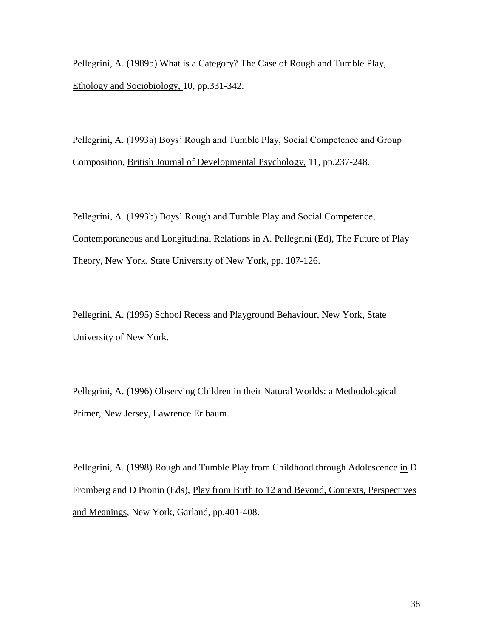Pellegrini, A. (1989b) What is a Category? The Case of Rough and Tumble Play, Ethology and Sociobiology, 10, pp.331-342.

Pellegrini, A. (1993a) Boys' Rough and Tumble Play, Social Competence and Group Composition, British Journal of Developmental Psychology, 11, pp.237-248.

Pellegrini, A. (1993b) Boys' Rough and Tumble Play and Social Competence, Contemporaneous and Longitudinal Relations in A. Pellegrini (Ed), The Future of Play Theory, New York, State University of New York, pp. 107-126.

Pellegrini, A. (1995) School Recess and Playground Behaviour, New York, State University of New York.

Pellegrini, A. (1996) Observing Children in their Natural Worlds: a Methodological Primer, New Jersey, Lawrence Erlbaum.

Pellegrini, A. (1998) Rough and Tumble Play from Childhood through Adolescence in D Fromberg and D Pronin (Eds), Play from Birth to 12 and Beyond, Contexts, Perspectives and Meanings, New York, Garland, pp.401-408.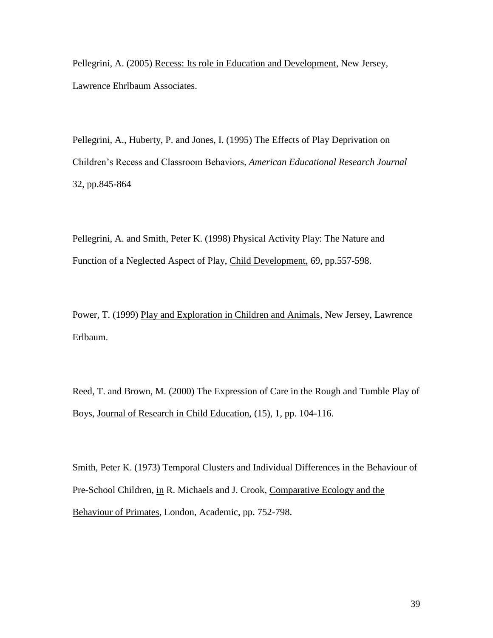Pellegrini, A. (2005) Recess: Its role in Education and Development, New Jersey, Lawrence Ehrlbaum Associates.

Pellegrini, A., Huberty, P. and Jones, I. (1995) The Effects of Play Deprivation on Children's Recess and Classroom Behaviors, *American Educational Research Journal* 32, pp.845-864

Pellegrini, A. and Smith, Peter K. (1998) Physical Activity Play: The Nature and Function of a Neglected Aspect of Play, Child Development, 69, pp.557-598.

Power, T. (1999) Play and Exploration in Children and Animals, New Jersey, Lawrence Erlbaum.

Reed, T. and Brown, M. (2000) The Expression of Care in the Rough and Tumble Play of Boys, Journal of Research in Child Education, (15), 1, pp. 104-116.

Smith, Peter K. (1973) Temporal Clusters and Individual Differences in the Behaviour of Pre-School Children, in R. Michaels and J. Crook, Comparative Ecology and the Behaviour of Primates, London, Academic, pp. 752-798.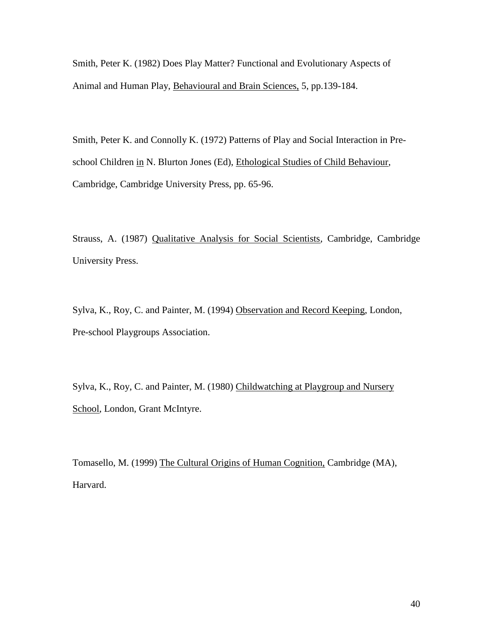Smith, Peter K. (1982) Does Play Matter? Functional and Evolutionary Aspects of Animal and Human Play, Behavioural and Brain Sciences, 5, pp.139-184.

Smith, Peter K. and Connolly K. (1972) Patterns of Play and Social Interaction in Preschool Children in N. Blurton Jones (Ed), Ethological Studies of Child Behaviour, Cambridge, Cambridge University Press, pp. 65-96.

Strauss, A. (1987) Qualitative Analysis for Social Scientists, Cambridge, Cambridge University Press.

Sylva, K., Roy, C. and Painter, M. (1994) Observation and Record Keeping, London, Pre-school Playgroups Association.

Sylva, K., Roy, C. and Painter, M. (1980) Childwatching at Playgroup and Nursery School, London, Grant McIntyre.

Tomasello, M. (1999) The Cultural Origins of Human Cognition, Cambridge (MA), Harvard.